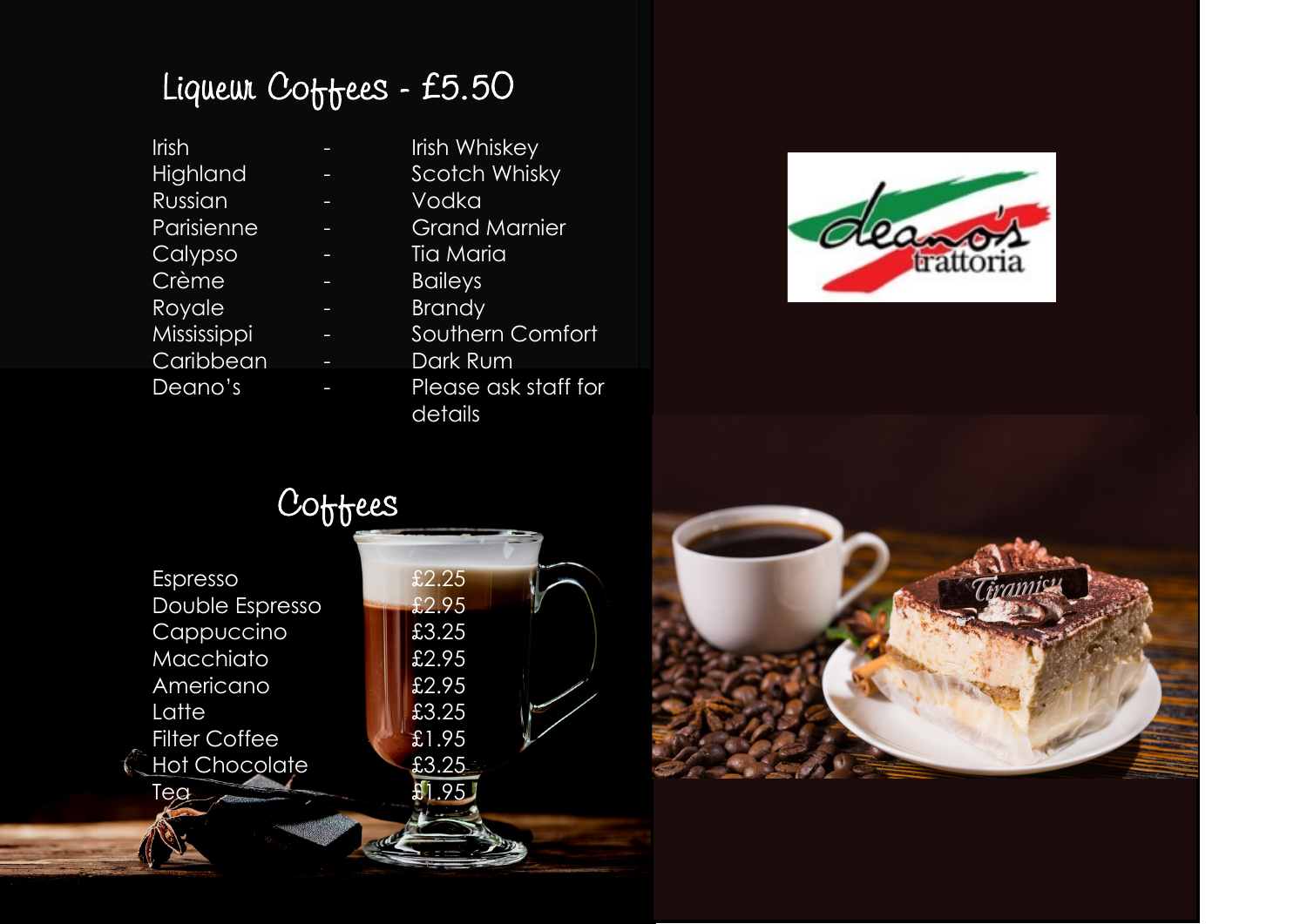# Liqueur Coffees - £5.50

| Irish       | <b>Irish Whiskey</b> |
|-------------|----------------------|
| Highland    | <b>Scotch Whisky</b> |
| Russian     | Vodka                |
| Parisienne  | <b>Grand Marnier</b> |
| Calypso     | Tia Maria            |
| Crème       | <b>Baileys</b>       |
| Royale      | <b>Brandy</b>        |
| Mississippi | Southern Comfort     |
| Caribbean   | Dark Rum             |
| Deano's     | Please ask staff for |
|             | details              |